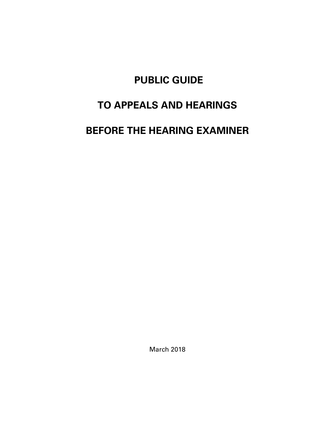# **PUBLIC GUIDE**

# **TO APPEALS AND HEARINGS**

# **BEFORE THE HEARING EXAMINER**

March 2018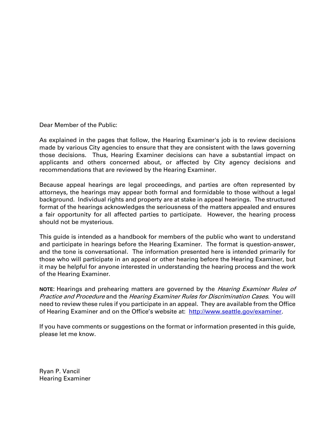Dear Member of the Public:

As explained in the pages that follow, the Hearing Examiner's job is to review decisions made by various City agencies to ensure that they are consistent with the laws governing those decisions. Thus, Hearing Examiner decisions can have a substantial impact on applicants and others concerned about, or affected by City agency decisions and recommendations that are reviewed by the Hearing Examiner.

Because appeal hearings are legal proceedings, and parties are often represented by attorneys, the hearings may appear both formal and formidable to those without a legal background. Individual rights and property are at stake in appeal hearings. The structured format of the hearings acknowledges the seriousness of the matters appealed and ensures a fair opportunity for all affected parties to participate. However, the hearing process should not be mysterious.

This guide is intended as a handbook for members of the public who want to understand and participate in hearings before the Hearing Examiner. The format is question-answer, and the tone is conversational. The information presented here is intended primarily for those who will participate in an appeal or other hearing before the Hearing Examiner, but it may be helpful for anyone interested in understanding the hearing process and the work of the Hearing Examiner.

**NOTE**: Hearings and prehearing matters are governed by the Hearing Examiner Rules of Practice and Procedure and the Hearing Examiner Rules for Discrimination Cases. You will need to review these rules if you participate in an appeal. They are available from the Office of Hearing Examiner and on the Office's website at: <http://www.seattle.gov/examiner>.

If you have comments or suggestions on the format or information presented in this guide, please let me know.

Ryan P. Vancil Hearing Examiner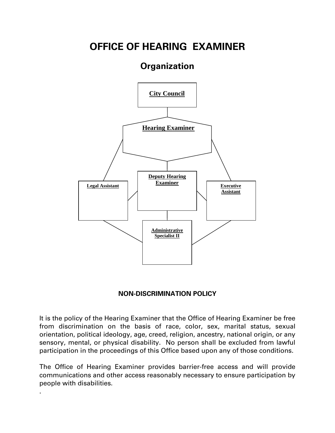# **OFFICE OF HEARING EXAMINER**

# **Organization**



# **NON-DISCRIMINATION POLICY**

It is the policy of the Hearing Examiner that the Office of Hearing Examiner be free from discrimination on the basis of race, color, sex, marital status, sexual orientation, political ideology, age, creed, religion, ancestry, national origin, or any sensory, mental, or physical disability. No person shall be excluded from lawful participation in the proceedings of this Office based upon any of those conditions.

The Office of Hearing Examiner provides barrier-free access and will provide communications and other access reasonably necessary to ensure participation by people with disabilities.

.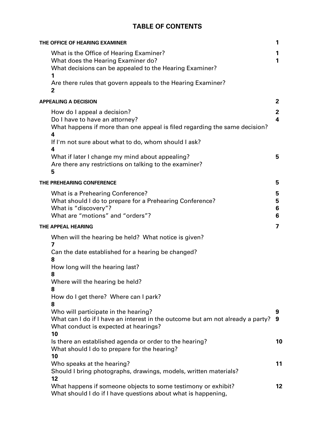# **TABLE OF CONTENTS**

| THE OFFICE OF HEARING EXAMINER                                                                                                                                                                           | 1                 |
|----------------------------------------------------------------------------------------------------------------------------------------------------------------------------------------------------------|-------------------|
| What is the Office of Hearing Examiner?<br>What does the Hearing Examiner do?<br>What decisions can be appealed to the Hearing Examiner?                                                                 | 1<br>1            |
| Are there rules that govern appeals to the Hearing Examiner?<br>2                                                                                                                                        |                   |
| <b>APPEALING A DECISION</b>                                                                                                                                                                              | 2                 |
| How do I appeal a decision?<br>Do I have to have an attorney?<br>What happens if more than one appeal is filed regarding the same decision?<br>4<br>If I'm not sure about what to do, whom should I ask? | $\mathbf{2}$<br>4 |
| 4<br>What if later I change my mind about appealing?<br>Are there any restrictions on talking to the examiner?<br>5                                                                                      | 5                 |
| THE PREHEARING CONFERENCE                                                                                                                                                                                | 5                 |
| What is a Prehearing Conference?<br>What should I do to prepare for a Prehearing Conference?<br>What is "discovery"?<br>What are "motions" and "orders"?                                                 | 5<br>5<br>6<br>6  |
| THE APPEAL HEARING                                                                                                                                                                                       | 7                 |
| When will the hearing be held? What notice is given?<br>7                                                                                                                                                |                   |
| Can the date established for a hearing be changed?<br>8                                                                                                                                                  |                   |
| How long will the hearing last?<br>8                                                                                                                                                                     |                   |
| Where will the hearing be held?<br>8                                                                                                                                                                     |                   |
| How do I get there? Where can I park?<br>8                                                                                                                                                               |                   |
| Who will participate in the hearing?<br>What can I do if I have an interest in the outcome but am not already a party?<br>What conduct is expected at hearings?<br>10                                    | 9<br>9            |
| Is there an established agenda or order to the hearing?<br>What should I do to prepare for the hearing?<br>10                                                                                            | 10                |
| Who speaks at the hearing?<br>Should I bring photographs, drawings, models, written materials?<br>12                                                                                                     | 11                |
| What happens if someone objects to some testimony or exhibit?<br>What should I do if I have questions about what is happening,                                                                           | 12                |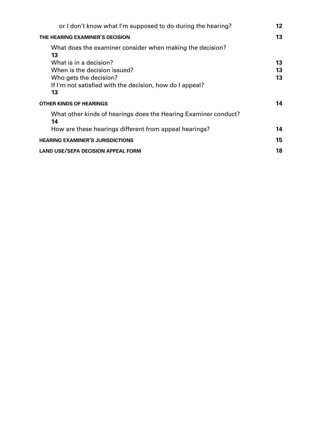| or I don't know what I'm supposed to do during the hearing?           | 12 |
|-----------------------------------------------------------------------|----|
| THE HEARING EXAMINER'S DECISION                                       |    |
| What does the examiner consider when making the decision?<br>13       |    |
| What is in a decision?                                                | 13 |
| When is the decision issued?                                          | 13 |
| Who gets the decision?                                                | 13 |
| If I'm not satisfied with the decision, how do I appeal?              |    |
| 13                                                                    |    |
| <b>OTHER KINDS OF HEARINGS</b>                                        | 14 |
| What other kinds of hearings does the Hearing Examiner conduct?<br>14 |    |
| How are these hearings different from appeal hearings?                | 14 |
| <b>HEARING EXAMINER'S JURISDICTIONS</b>                               |    |
| <b>LAND USE/SEPA DECISION APPEAL FORM</b>                             | 18 |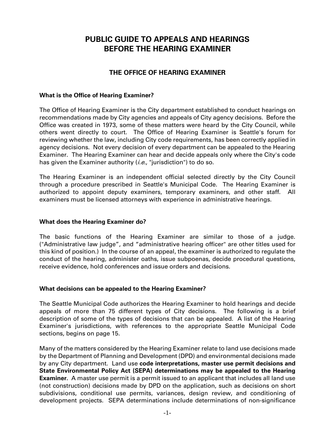# **PUBLIC GUIDE TO APPEALS AND HEARINGS BEFORE THE HEARING EXAMINER**

# **THE OFFICE OF HEARING EXAMINER**

#### **What is the Office of Hearing Examiner?**

The Office of Hearing Examiner is the City department established to conduct hearings on recommendations made by City agencies and appeals of City agency decisions. Before the Office was created in 1973, some of these matters were heard by the City Council, while others went directly to court. The Office of Hearing Examiner is Seattle's forum for reviewing whether the law, including City code requirements, has been correctly applied in agency decisions. Not every decision of every department can be appealed to the Hearing Examiner. The Hearing Examiner can hear and decide appeals only where the City's code has given the Examiner authority (*i.e.*, "jurisdiction") to do so.

The Hearing Examiner is an independent official selected directly by the City Council through a procedure prescribed in Seattle's Municipal Code. The Hearing Examiner is authorized to appoint deputy examiners, temporary examiners, and other staff. All examiners must be licensed attorneys with experience in administrative hearings.

#### **What does the Hearing Examiner do?**

The basic functions of the Hearing Examiner are similar to those of a judge. ("Administrative law judge", and "administrative hearing officer" are other titles used for this kind of position.) In the course of an appeal, the examiner is authorized to regulate the conduct of the hearing, administer oaths, issue subpoenas, decide procedural questions, receive evidence, hold conferences and issue orders and decisions.

#### **What decisions can be appealed to the Hearing Examiner?**

The Seattle Municipal Code authorizes the Hearing Examiner to hold hearings and decide appeals of more than 75 different types of City decisions. The following is a brief description of some of the types of decisions that can be appealed. A list of the Hearing Examiner's jurisdictions, with references to the appropriate Seattle Municipal Code sections, begins on page 15.

Many of the matters considered by the Hearing Examiner relate to land use decisions made by the Department of Planning and Development (DPD) and environmental decisions made by any City department. Land use **code interpretations, master use permit decisions and State Environmental Policy Act (SEPA) determinations may be appealed to the Hearing Examiner.** A master use permit is a permit issued to an applicant that includes all land use (not construction) decisions made by DPD on the application, such as decisions on short subdivisions, conditional use permits, variances, design review, and conditioning of development projects. SEPA determinations include determinations of non-significance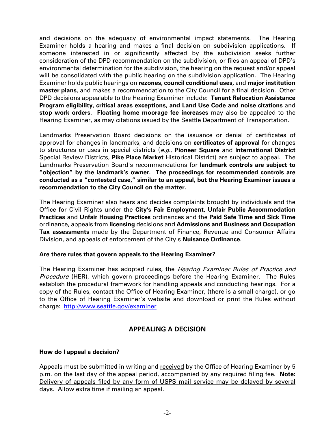and decisions on the adequacy of environmental impact statements. The Hearing Examiner holds a hearing and makes a final decision on subdivision applications. If someone interested in or significantly affected by the subdivision seeks further consideration of the DPD recommendation on the subdivision, or files an appeal of DPD's environmental determination for the subdivision, the hearing on the request and/or appeal will be consolidated with the public hearing on the subdivision application. The Hearing Examiner holds public hearings on **rezones, council conditional uses,** and **major institution master plans**, and makes a recommendation to the City Council for a final decision. Other DPD decisions appealable to the Hearing Examiner include: **Tenant Relocation Assistance Program eligibility, critical areas exceptions, and Land Use Code and noise citations** and **stop work orders**. **Floating home moorage fee increases** may also be appealed to the Hearing Examiner, as may citations issued by the Seattle Department of Transportation**.**

Landmarks Preservation Board decisions on the issuance or denial of certificates of approval for changes in landmarks, and decisions on **certificates of approval** for changes to structures or uses in special districts (e.g., **Pioneer Square** and **International District** Special Review Districts, **Pike Place Market** Historical District) are subject to appeal. The Landmarks Preservation Board's recommendations for **landmark controls are subject to "objection" by the landmark's owner. The proceedings for recommended controls are conducted as a "contested case," similar to an appeal, but the Hearing Examiner issues a recommendation to the City Council on the matter.**

The Hearing Examiner also hears and decides complaints brought by individuals and the Office for Civil Rights under the **City's Fair Employment, Unfair Public Accommodation Practices** and **Unfair Housing Practices** ordinances and the **Paid Safe Time and Sick Time** ordinance, appeals from **licensing** decisions and **Admissions and Business and Occupation Tax assessments** made by the Department of Finance, Revenue and Consumer Affairs Division, and appeals of enforcement of the City's **Nuisance Ordinance**.

#### **Are there rules that govern appeals to the Hearing Examiner?**

The Hearing Examiner has adopted rules, the *Hearing Examiner Rules of Practice and* Procedure (HER), which govern proceedings before the Hearing Examiner. The Rules establish the procedural framework for handling appeals and conducting hearings. For a copy of the Rules, contact the Office of Hearing Examiner, (there is a small charge), or go to the Office of Hearing Examiner's website and download or print the Rules without charge: <http://www.seattle.gov/examiner>

# **APPEALING A DECISION**

# **How do I appeal a decision?**

Appeals must be submitted in writing and received by the Office of Hearing Examiner by 5 p.m. on the last day of the appeal period, accompanied by any required filing fee. **Note:**  Delivery of appeals filed by any form of USPS mail service may be delayed by several days. Allow extra time if mailing an appeal.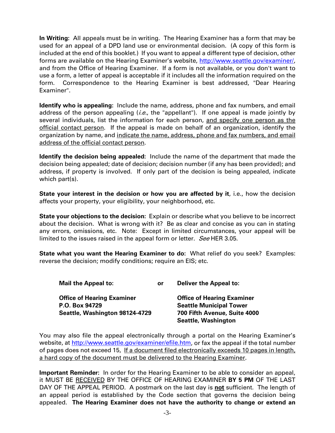**In Writing:** All appeals must be in writing. The Hearing Examiner has a form that may be used for an appeal of a DPD land use or environmental decision. (A copy of this form is included at the end of this booklet.) If you want to appeal a different type of decision, other forms are available on the Hearing Examiner's website, [http://www.seattle.gov/examiner/,](http://www.seattle.gov/examiner/) and from the Office of Hearing Examiner. If a form is not available, or you don't want to use a form, a letter of appeal is acceptable if it includes all the information required on the form. Correspondence to the Hearing Examiner is best addressed, "Dear Hearing Examiner".

**Identify who is appealing:** Include the name, address, phone and fax numbers, and email address of the person appealing  $(i.e.,$  the "appellant"). If one appeal is made jointly by several individuals, list the information for each person, and specify one person as the official contact person. If the appeal is made on behalf of an organization, identify the organization by name, and indicate the name, address, phone and fax numbers, and email address of the official contact person.

**Identify the decision being appealed:** Include the name of the department that made the decision being appealed; date of decision; decision number (if any has been provided); and address, if property is involved. If only part of the decision is being appealed, indicate which part(s).

**State your interest in the decision or how you are affected by it, i.e., how the decision** affects your property, your eligibility, your neighborhood, etc.

**State your objections to the decision:** Explain or describe what you believe to be incorrect about the decision. What is wrong with it? Be as clear and concise as you can in stating any errors, omissions, etc. Note:Except in limited circumstances, your appeal will be limited to the issues raised in the appeal form or letter. See HER 3.05.

**State what you want the Hearing Examiner to do:** What relief do you seek? Examples: reverse the decision; modify conditions; require an EIS; etc.

| <b>Mail the Appeal to:</b>        | or | <b>Deliver the Appeal to:</b>     |
|-----------------------------------|----|-----------------------------------|
| <b>Office of Hearing Examiner</b> |    | <b>Office of Hearing Examiner</b> |
| P.O. Box 94729                    |    | <b>Seattle Municipal Tower</b>    |
| Seattle, Washington 98124-4729    |    | 700 Fifth Avenue, Suite 4000      |
|                                   |    | <b>Seattle, Washington</b>        |

You may also file the appeal electronically through a portal on the Hearing Examiner's website, at [http://www.seattle.gov/examiner/efile.htm,](http://www.seattle.gov/examiner/efile.htm) or fax the appeal if the total number of pages does not exceed 15, If a document filed electronically exceeds 10 pages in length, a hard copy of the document must be delivered to the Hearing Examiner.

**Important Reminder:** In order for the Hearing Examiner to be able to consider an appeal, it MUST BE RECEIVED BY THE OFFICE OF HEARING EXAMINER **BY 5 PM** OF THE LAST DAY OF THE APPEAL PERIOD. A postmark on the last day is **not** sufficient. The length of an appeal period is established by the Code section that governs the decision being appealed. **The Hearing Examiner does not have the authority to change or extend an**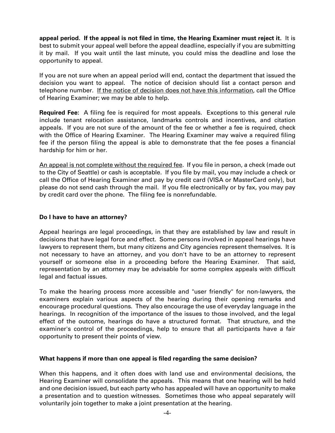**appeal period. If the appeal is not filed in time, the Hearing Examiner must reject it.** It is best to submit your appeal well before the appeal deadline, especially if you are submitting it by mail. If you wait until the last minute, you could miss the deadline and lose the opportunity to appeal.

If you are not sure when an appeal period will end, contact the department that issued the decision you want to appeal. The notice of decision should list a contact person and telephone number. If the notice of decision does not have this information, call the Office of Hearing Examiner; we may be able to help.

**Required Fee:** A filing fee is required for most appeals. Exceptions to this general rule include tenant relocation assistance, landmarks controls and incentives, and citation appeals. If you are not sure of the amount of the fee or whether a fee is required, check with the Office of Hearing Examiner. The Hearing Examiner may waive a required filing fee if the person filing the appeal is able to demonstrate that the fee poses a financial hardship for him or her.

An appeal is not complete without the required fee. If you file in person, a check (made out to the City of Seattle) or cash is acceptable. If you file by mail, you may include a check or call the Office of Hearing Examiner and pay by credit card (VISA or MasterCard only), but please do not send cash through the mail. If you file electronically or by fax, you may pay by credit card over the phone. The filing fee is nonrefundable.

#### **Do I have to have an attorney?**

Appeal hearings are legal proceedings, in that they are established by law and result in decisions that have legal force and effect. Some persons involved in appeal hearings have lawyers to represent them, but many citizens and City agencies represent themselves. It is not necessary to have an attorney, and you don't have to be an attorney to represent yourself or someone else in a proceeding before the Hearing Examiner. That said, representation by an attorney may be advisable for some complex appeals with difficult legal and factual issues.

To make the hearing process more accessible and "user friendly" for non-lawyers, the examiners explain various aspects of the hearing during their opening remarks and encourage procedural questions. They also encourage the use of everyday language in the hearings. In recognition of the importance of the issues to those involved, and the legal effect of the outcome, hearings do have a structured format. That structure, and the examiner's control of the proceedings, help to ensure that all participants have a fair opportunity to present their points of view.

#### **What happens if more than one appeal is filed regarding the same decision?**

When this happens, and it often does with land use and environmental decisions, the Hearing Examiner will consolidate the appeals. This means that one hearing will be held and one decision issued, but each party who has appealed will have an opportunity to make a presentation and to question witnesses. Sometimes those who appeal separately will voluntarily join together to make a joint presentation at the hearing.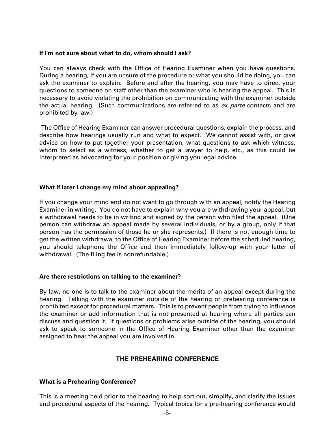#### **If I'm not sure about what to do, whom should I ask?**

You can always check with the Office of Hearing Examiner when you have questions. During a hearing, if you are unsure of the procedure or what you should be doing, you can ask the examiner to explain. Before and after the hearing, you may have to direct your questions to someone on staff other than the examiner who is hearing the appeal. This is necessary to avoid violating the prohibition on communicating with the examiner outside the actual hearing. (Such communications are referred to as ex parte contacts and are prohibited by law.)

The Office of Hearing Examiner can answer procedural questions, explain the process, and describe how hearings usually run and what to expect. We cannot assist with, or give advice on how to put together your presentation, what questions to ask which witness, whom to select as a witness, whether to get a lawyer to help, etc., as this could be interpreted as advocating for your position or giving you legal advice.

#### **What if later I change my mind about appealing?**

If you change your mind and do not want to go through with an appeal, notify the Hearing Examiner in writing. You do not have to explain why you are withdrawing your appeal, but a withdrawal needs to be in writing and signed by the person who filed the appeal. (One person can withdraw an appeal made by several individuals, or by a group, only if that person has the permission of those he or she represents.) If there is not enough time to get the written withdrawal to the Office of Hearing Examiner before the scheduled hearing, you should telephone the Office and then immediately follow-up with your letter of withdrawal. (The filing fee is nonrefundable.)

#### **Are there restrictions on talking to the examiner?**

By law, no one is to talk to the examiner about the merits of an appeal except during the hearing. Talking with the examiner outside of the hearing or prehearing conference is prohibited except for procedural matters. This is to prevent people from trying to influence the examiner or add information that is not presented at hearing where all parties can discuss and question it. If questions or problems arise outside of the hearing, you should ask to speak to someone in the Office of Hearing Examiner other than the examiner assigned to hear the appeal you are involved in.

# **THE PREHEARING CONFERENCE**

#### **What is a Prehearing Conference?**

This is a meeting held prior to the hearing to help sort out, simplify, and clarify the issues and procedural aspects of the hearing. Typical topics for a pre-hearing conference would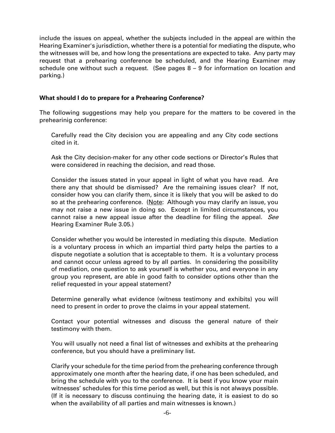include the issues on appeal, whether the subjects included in the appeal are within the Hearing Examiner's jurisdiction, whether there is a potential for mediating the dispute, who the witnesses will be, and how long the presentations are expected to take. Any party may request that a prehearing conference be scheduled, and the Hearing Examiner may schedule one without such a request. (See pages 8 – 9 for information on location and parking.)

#### **What should I do to prepare for a Prehearing Conference?**

The following suggestions may help you prepare for the matters to be covered in the prehearinig conference:

Carefully read the City decision you are appealing and any City code sections cited in it.

Ask the City decision-maker for any other code sections or Director's Rules that were considered in reaching the decision, and read those.

Consider the issues stated in your appeal in light of what you have read. Are there any that should be dismissed? Are the remaining issues clear? If not, consider how you can clarify them, since it is likely that you will be asked to do so at the prehearing conference. (Note: Although you may clarify an issue, you may not raise a new issue in doing so. Except in limited circumstances, you cannot raise a new appeal issue after the deadline for filing the appeal. See Hearing Examiner Rule 3.05.)

Consider whether you would be interested in mediating this dispute. Mediation is a voluntary process in which an impartial third party helps the parties to a dispute negotiate a solution that is acceptable to them. It is a voluntary process and cannot occur unless agreed to by all parties. In considering the possibility of mediation, one question to ask yourself is whether you, and everyone in any group you represent, are able in good faith to consider options other than the relief requested in your appeal statement?

Determine generally what evidence (witness testimony and exhibits) you will need to present in order to prove the claims in your appeal statement.

Contact your potential witnesses and discuss the general nature of their testimony with them.

You will usually not need a final list of witnesses and exhibits at the prehearing conference, but you should have a preliminary list.

Clarify your schedule for the time period from the prehearing conference through approximately one month after the hearing date, if one has been scheduled, and bring the schedule with you to the conference. It is best if you know your main witnesses' schedules for this time period as well, but this is not always possible. (If it is necessary to discuss continuing the hearing date, it is easiest to do so when the availability of all parties and main witnesses is known.)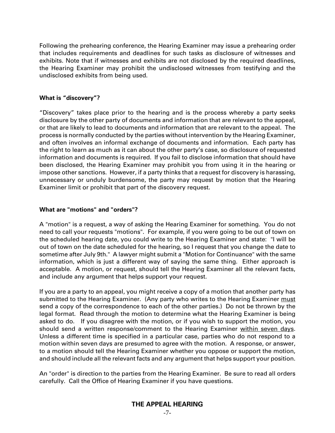Following the prehearing conference, the Hearing Examiner may issue a prehearing order that includes requirements and deadlines for such tasks as disclosure of witnesses and exhibits. Note that if witnesses and exhibits are not disclosed by the required deadlines, the Hearing Examiner may prohibit the undisclosed witnesses from testifying and the undisclosed exhibits from being used.

#### **What is "discovery"?**

"Discovery" takes place prior to the hearing and is the process whereby a party seeks disclosure by the other party of documents and information that are relevant to the appeal, or that are likely to lead to documents and information that are relevant to the appeal. The process is normally conducted by the parties without intervention by the Hearing Examiner, and often involves an informal exchange of documents and information. Each party has the right to learn as much as it can about the other party's case, so disclosure of requested information and documents is required. If you fail to disclose information that should have been disclosed, the Hearing Examiner may prohibit you from using it in the hearing or impose other sanctions. However, if a party thinks that a request for discovery is harassing, unnecessary or unduly burdensome, the party may request by motion that the Hearing Examiner limit or prohibit that part of the discovery request.

#### **What are "motions" and "orders"?**

A "motion" is a request, a way of asking the Hearing Examiner for something. You do not need to call your requests "motions". For example, if you were going to be out of town on the scheduled hearing date, you could write to the Hearing Examiner and state: "I will be out of town on the date scheduled for the hearing, so I request that you change the date to sometime after July 9th." A lawyer might submit a "Motion for Continuance" with the same information, which is just a different way of saying the same thing. Either approach is acceptable. A motion, or request, should tell the Hearing Examiner all the relevant facts, and include any argument that helps support your request.

If you are a party to an appeal, you might receive a copy of a motion that another party has submitted to the Hearing Examiner. (Any party who writes to the Hearing Examiner must send a copy of the correspondence to each of the other parties.) Do not be thrown by the legal format. Read through the motion to determine what the Hearing Examiner is being asked to do. If you disagree with the motion, or if you wish to support the motion, you should send a written response/comment to the Hearing Examiner within seven days. Unless a different time is specified in a particular case, parties who do not respond to a motion within seven days are presumed to agree with the motion. A response, or answer, to a motion should tell the Hearing Examiner whether you oppose or support the motion, and should include all the relevant facts and any argument that helps support your position.

An "order" is direction to the parties from the Hearing Examiner. Be sure to read all orders carefully. Call the Office of Hearing Examiner if you have questions.

# **THE APPEAL HEARING**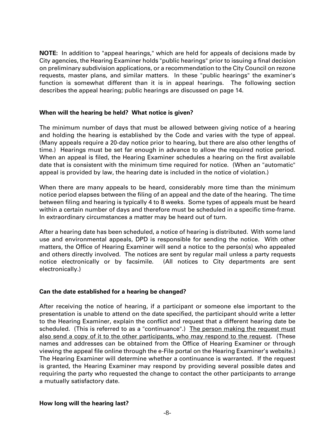**NOTE:** In addition to "appeal hearings," which are held for appeals of decisions made by City agencies, the Hearing Examiner holds "public hearings" prior to issuing a final decision on preliminary subdivision applications, or a recommendation to the City Council on rezone requests, master plans, and similar matters. In these "public hearings" the examiner's function is somewhat different than it is in appeal hearings. The following section describes the appeal hearing; public hearings are discussed on page 14.

## **When will the hearing be held? What notice is given?**

The minimum number of days that must be allowed between giving notice of a hearing and holding the hearing is established by the Code and varies with the type of appeal. (Many appeals require a 20-day notice prior to hearing, but there are also other lengths of time.) Hearings must be set far enough in advance to allow the required notice period. When an appeal is filed, the Hearing Examiner schedules a hearing on the first available date that is consistent with the minimum time required for notice. (When an "automatic" appeal is provided by law, the hearing date is included in the notice of violation.)

When there are many appeals to be heard, considerably more time than the minimum notice period elapses between the filing of an appeal and the date of the hearing. The time between filing and hearing is typically 4 to 8 weeks. Some types of appeals must be heard within a certain number of days and therefore must be scheduled in a specific time-frame. In extraordinary circumstances a matter may be heard out of turn.

After a hearing date has been scheduled, a notice of hearing is distributed. With some land use and environmental appeals, DPD is responsible for sending the notice. With other matters, the Office of Hearing Examiner will send a notice to the person(s) who appealed and others directly involved. The notices are sent by regular mail unless a party requests notice electronically or by facsimile. (All notices to City departments are sent electronically.)

#### **Can the date established for a hearing be changed?**

After receiving the notice of hearing, if a participant or someone else important to the presentation is unable to attend on the date specified, the participant should write a letter to the Hearing Examiner, explain the conflict and request that a different hearing date be scheduled. (This is referred to as a "continuance".) The person making the request must also send a copy of it to the other participants, who may respond to the request. (These names and addresses can be obtained from the Office of Hearing Examiner or through viewing the appeal file online through the e-File portal on the Hearing Examiner's website.) The Hearing Examiner will determine whether a continuance is warranted. If the request is granted, the Hearing Examiner may respond by providing several possible dates and requiring the party who requested the change to contact the other participants to arrange a mutually satisfactory date.

#### **How long will the hearing last?**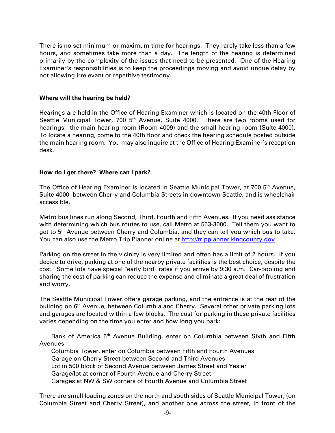There is no set minimum or maximum time for hearings. They rarely take less than a few hours, and sometimes take more than a day. The length of the hearing is determined primarily by the complexity of the issues that need to be presented. One of the Hearing Examiner's responsibilities is to keep the proceedings moving and avoid undue delay by not allowing irrelevant or repetitive testimony.

#### **Where will the hearing be held?**

Hearings are held in the Office of Hearing Examiner which is located on the 40th Floor of Seattle Municipal Tower, 700 5<sup>th</sup> Avenue, Suite 4000. There are two rooms used for hearings: the main hearing room (Room 4009) and the small hearing room (Suite 4000). To locate a hearing, come to the 40th floor and check the hearing schedule posted outside the main hearing room. You may also inquire at the Office of Hearing Examiner's reception desk.

#### **How do I get there? Where can I park?**

The Office of Hearing Examiner is located in Seattle Municipal Tower, at 700 5<sup>th</sup> Avenue, Suite 4000, between Cherry and Columbia Streets in downtown Seattle, and is wheelchair accessible.

Metro bus lines run along Second, Third, Fourth and Fifth Avenues. If you need assistance with determining which bus routes to use, call Metro at 553-3000. Tell them you want to get to 5<sup>th</sup> Avenue between Cherry and Columbia, and they can tell you which bus to take. You can also use the Metro Trip Planner online at [http://tripplanner.kingcounty.gov](http://tripplanner.kingcounty.gov/)

Parking on the street in the vicinity is very limited and often has a limit of 2 hours. If you decide to drive, parking at one of the nearby private facilities is the best choice, despite the cost. Some lots have special "early bird" rates if you arrive by 9:30 a.m. Car-pooling and sharing the cost of parking can reduce the expense and eliminate a great deal of frustration and worry.

The Seattle Municipal Tower offers garage parking, and the entrance is at the rear of the building on 6<sup>th</sup> Avenue, between Columbia and Cherry. Several other private parking lots and garages are located within a few blocks. The cost for parking in these private facilities varies depending on the time you enter and how long you park:

Bank of America 5<sup>th</sup> Avenue Building, enter on Columbia between Sixth and Fifth Avenues

Columbia Tower, enter on Columbia between Fifth and Fourth Avenues Garage on Cherry Street between Second and Third Avenues Lot in 500 block of Second Avenue between James Street and Yesler Garage/lot at corner of Fourth Avenue and Cherry Street Garages at NW & SW corners of Fourth Avenue and Columbia Street

There are small loading zones on the north and south sides of Seattle Municipal Tower, (on Columbia Street and Cherry Street), and another one across the street, in front of the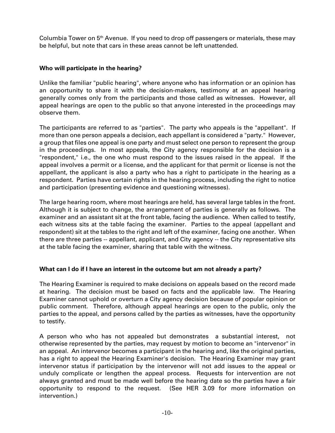Columbia Tower on 5<sup>th</sup> Avenue. If you need to drop off passengers or materials, these may be helpful, but note that cars in these areas cannot be left unattended.

## **Who will participate in the hearing?**

Unlike the familiar "public hearing", where anyone who has information or an opinion has an opportunity to share it with the decision-makers, testimony at an appeal hearing generally comes only from the participants and those called as witnesses. However, all appeal hearings are open to the public so that anyone interested in the proceedings may observe them.

The participants are referred to as "parties". The party who appeals is the "appellant". If more than one person appeals a decision, each appellant is considered a "party." However, a group that files one appeal is one party and must select one person to represent the group in the proceedings. In most appeals, the City agency responsible for the decision is a "respondent," i.e., the one who must respond to the issues raised in the appeal. If the appeal involves a permit or a license, and the applicant for that permit or license is not the appellant, the applicant is also a party who has a right to participate in the hearing as a respondent. Parties have certain rights in the hearing process, including the right to notice and participation (presenting evidence and questioning witnesses).

The large hearing room, where most hearings are held, has several large tables in the front. Although it is subject to change, the arrangement of parties is generally as follows. The examiner and an assistant sit at the front table, facing the audience. When called to testify, each witness sits at the table facing the examiner. Parties to the appeal (appellant and respondent) sit at the tables to the right and left of the examiner, facing one another. When there are three parties -- appellant, applicant, and City agency -- the City representative sits at the table facing the examiner, sharing that table with the witness.

# **What can I do if I have an interest in the outcome but am not already a party?**

The Hearing Examiner is required to make decisions on appeals based on the record made at hearing. The decision must be based on facts and the applicable law. The Hearing Examiner cannot uphold or overturn a City agency decision because of popular opinion or public comment. Therefore, although appeal hearings are open to the public, only the parties to the appeal, and persons called by the parties as witnesses, have the opportunity to testify.

A person who who has not appealed but demonstrates a substantial interest, not otherwise represented by the parties, may request by motion to become an "intervenor" in an appeal. An intervenor becomes a participant in the hearing and, like the original parties, has a right to appeal the Hearing Examiner's decision. The Hearing Examiner may grant intervenor status if participation by the intervenor will not add issues to the appeal or unduly complicate or lengthen the appeal process. Requests for intervention are not always granted and must be made well before the hearing date so the parties have a fair opportunity to respond to the request. (See HER 3.09 for more information on intervention.)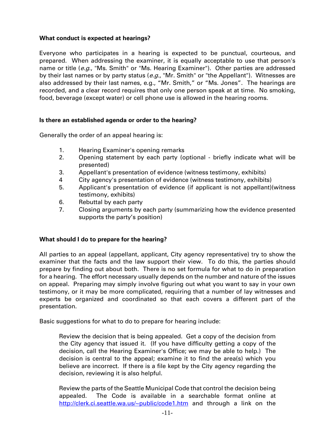## **What conduct is expected at hearings?**

Everyone who participates in a hearing is expected to be punctual, courteous, and prepared. When addressing the examiner, it is equally acceptable to use that person's name or title (e.g., "Ms. Smith" or "Ms. Hearing Examiner"). Other parties are addressed by their last names or by party status (e.g., "Mr. Smith" or "the Appellant"). Witnesses are also addressed by their last names, e.g., "Mr. Smith," or "Ms. Jones". The hearings are recorded, and a clear record requires that only one person speak at at time. No smoking, food, beverage (except water) or cell phone use is allowed in the hearing rooms.

## **Is there an established agenda or order to the hearing?**

Generally the order of an appeal hearing is:

- 1. Hearing Examiner's opening remarks
- 2. Opening statement by each party (optional briefly indicate what will be presented)
- 3. Appellant's presentation of evidence (witness testimony, exhibits)
- 4 City agency's presentation of evidence (witness testimony, exhibits)
- 5. Applicant's presentation of evidence (if applicant is not appellant)(witness testimony, exhibits)
- 6. Rebuttal by each party
- 7. Closing arguments by each party (summarizing how the evidence presented supports the party's position)

#### **What should I do to prepare for the hearing?**

All parties to an appeal (appellant, applicant, City agency representative) try to show the examiner that the facts and the law support their view. To do this, the parties should prepare by finding out about both. There is no set formula for what to do in preparation for a hearing. The effort necessary usually depends on the number and nature of the issues on appeal. Preparing may simply involve figuring out what you want to say in your own testimony, or it may be more complicated, requiring that a number of lay witnesses and experts be organized and coordinated so that each covers a different part of the presentation.

Basic suggestions for what to do to prepare for hearing include:

Review the decision that is being appealed. Get a copy of the decision from the City agency that issued it. (If you have difficulty getting a copy of the decision, call the Hearing Examiner's Office; we may be able to help.) The decision is central to the appeal; examine it to find the area(s) which you believe are incorrect. If there is a file kept by the City agency regarding the decision, reviewing it is also helpful.

Review the parts of the Seattle Municipal Code that control the decision being appealed. The Code is available in a searchable format online at [http://clerk.ci.seattle.wa.us/~public/code1.htm](http://clerk.ci.seattle.wa.us/%7Epublic/code1.htm) and through a link on the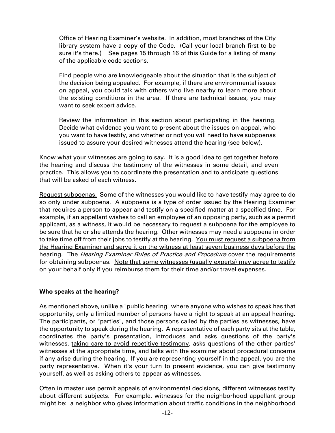Office of Hearing Examiner's website. In addition, most branches of the City library system have a copy of the Code. (Call your local branch first to be sure it's there.) See pages 15 through 16 of this Guide for a listing of many of the applicable code sections.

Find people who are knowledgeable about the situation that is the subject of the decision being appealed. For example, if there are environmental issues on appeal, you could talk with others who live nearby to learn more about the existing conditions in the area. If there are technical issues, you may want to seek expert advice.

Review the information in this section about participating in the hearing. Decide what evidence you want to present about the issues on appeal, who you want to have testify, and whether or not you will need to have subpoenas issued to assure your desired witnesses attend the hearing (see below).

Know what your witnesses are going to say. It is a good idea to get together before the hearing and discuss the testimony of the witnesses in some detail, and even practice. This allows you to coordinate the presentation and to anticipate questions that will be asked of each witness.

Request subpoenas. Some of the witnesses you would like to have testify may agree to do so only under subpoena. A subpoena is a type of order issued by the Hearing Examiner that requires a person to appear and testify on a specified matter at a specified time. For example, if an appellant wishes to call an employee of an opposing party, such as a permit applicant, as a witness, it would be necessary to request a subpoena for the employee to be sure that he or she attends the hearing. Other witnesses may need a subpoena in order to take time off from their jobs to testify at the hearing. You must request a subpoena from the Hearing Examiner and serve it on the witness at least seven business days before the hearing. The *Hearing Examiner Rules of Practice and Procedure* cover the requirements for obtaining subpoenas. Note that some witnesses (usually experts) may agree to testify on your behalf only if you reimburse them for their time and/or travel expenses.

#### **Who speaks at the hearing?**

As mentioned above, unlike a "public hearing" where anyone who wishes to speak has that opportunity, only a limited number of persons have a right to speak at an appeal hearing. The participants, or "parties", and those persons called by the parties as witnesses, have the opportunity to speak during the hearing. A representative of each party sits at the table, coordinates the party's presentation, introduces and asks questions of the party's witnesses, taking care to avoid repetitive testimony, asks questions of the other parties' witnesses at the appropriate time, and talks with the examiner about procedural concerns if any arise during the hearing. If you are representing yourself in the appeal, you are the party representative. When it's your turn to present evidence, you can give testimony yourself, as well as asking others to appear as witnesses.

Often in master use permit appeals of environmental decisions, different witnesses testify about different subjects. For example, witnesses for the neighborhood appellant group might be: a neighbor who gives information about traffic conditions in the neighborhood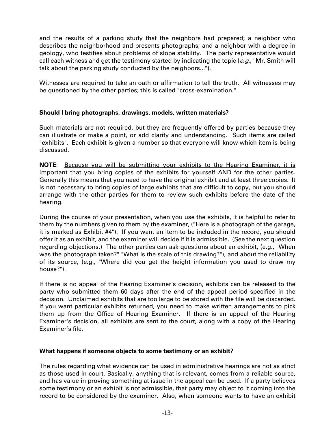and the results of a parking study that the neighbors had prepared; a neighbor who describes the neighborhood and presents photographs; and a neighbor with a degree in geology, who testifies about problems of slope stability. The party representative would call each witness and get the testimony started by indicating the topic ( $e.g.,$  "Mr. Smith will talk about the parking study conducted by the neighbors...").

Witnesses are required to take an oath or affirmation to tell the truth. All witnesses may be questioned by the other parties; this is called "cross-examination."

## **Should I bring photographs, drawings, models, written materials?**

Such materials are not required, but they are frequently offered by parties because they can illustrate or make a point, or add clarity and understanding. Such items are called "exhibits". Each exhibit is given a number so that everyone will know which item is being discussed.

**NOTE**: Because you will be submitting your exhibits to the Hearing Examiner, it is important that you bring copies of the exhibits for yourself AND for the other parties. Generally this means that you need to have the original exhibit and at least three copies. It is not necessary to bring copies of large exhibits that are difficult to copy, but you should arrange with the other parties for them to review such exhibits before the date of the hearing.

During the course of your presentation, when you use the exhibits, it is helpful to refer to them by the numbers given to them by the examiner, ("Here is a photograph of the garage, it is marked as Exhibit #4"). If you want an item to be included in the record, you should offer it as an exhibit, and the examiner will decide if it is admissible. (See the next question regarding objections.) The other parties can ask questions about an exhibit, (e.g., "When was the photograph taken?" "What is the scale of this drawing?"), and about the reliability of its source, (e.g., "Where did you get the height information you used to draw my house?").

If there is no appeal of the Hearing Examiner's decision, exhibits can be released to the party who submitted them 60 days after the end of the appeal period specified in the decision. Unclaimed exhibits that are too large to be stored with the file will be discarded. If you want particular exhibits returned, you need to make written arrangements to pick them up from the Office of Hearing Examiner. If there is an appeal of the Hearing Examiner's decision, all exhibits are sent to the court, along with a copy of the Hearing Examiner's file.

#### **What happens if someone objects to some testimony or an exhibit?**

The rules regarding what evidence can be used in administrative hearings are not as strict as those used in court. Basically, anything that is relevant, comes from a reliable source, and has value in proving something at issue in the appeal can be used. If a party believes some testimony or an exhibit is not admissible, that party may object to it coming into the record to be considered by the examiner. Also, when someone wants to have an exhibit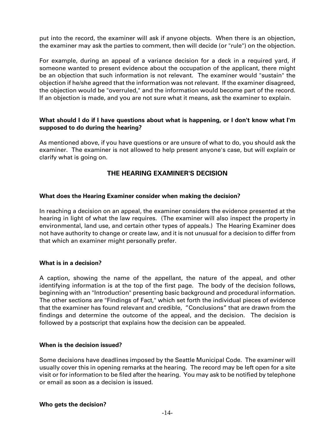put into the record, the examiner will ask if anyone objects. When there is an objection, the examiner may ask the parties to comment, then will decide (or "rule") on the objection.

For example, during an appeal of a variance decision for a deck in a required yard, if someone wanted to present evidence about the occupation of the applicant, there might be an objection that such information is not relevant. The examiner would "sustain" the objection if he/she agreed that the information was not relevant. If the examiner disagreed, the objection would be "overruled," and the information would become part of the record. If an objection is made, and you are not sure what it means, ask the examiner to explain.

### **What should I do if I have questions about what is happening, or I don't know what I'm supposed to do during the hearing?**

As mentioned above, if you have questions or are unsure of what to do, you should ask the examiner. The examiner is not allowed to help present anyone's case, but will explain or clarify what is going on.

# **THE HEARING EXAMINER'S DECISION**

#### **What does the Hearing Examiner consider when making the decision?**

In reaching a decision on an appeal, the examiner considers the evidence presented at the hearing in light of what the law requires. (The examiner will also inspect the property in environmental, land use, and certain other types of appeals.) The Hearing Examiner does not have authority to change or create law, and it is not unusual for a decision to differ from that which an examiner might personally prefer.

#### **What is in a decision?**

A caption, showing the name of the appellant, the nature of the appeal, and other identifying information is at the top of the first page. The body of the decision follows, beginning with an "Introduction" presenting basic background and procedural information. The other sections are "Findings of Fact," which set forth the individual pieces of evidence that the examiner has found relevant and credible, "Conclusions" that are drawn from the findings and determine the outcome of the appeal, and the decision. The decision is followed by a postscript that explains how the decision can be appealed.

#### **When is the decision issued?**

Some decisions have deadlines imposed by the Seattle Municipal Code. The examiner will usually cover this in opening remarks at the hearing. The record may be left open for a site visit or for information to be filed after the hearing. You may ask to be notified by telephone or email as soon as a decision is issued.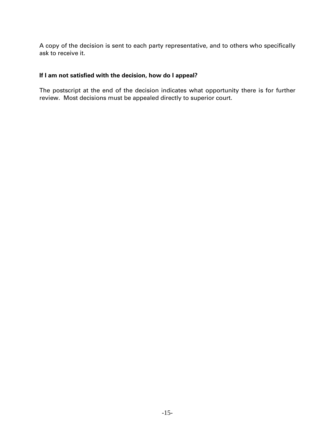A copy of the decision is sent to each party representative, and to others who specifically ask to receive it.

## **If I am not satisfied with the decision, how do I appeal?**

The postscript at the end of the decision indicates what opportunity there is for further review. Most decisions must be appealed directly to superior court.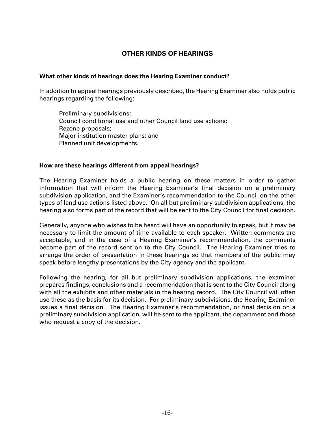# **OTHER KINDS OF HEARINGS**

#### **What other kinds of hearings does the Hearing Examiner conduct?**

In addition to appeal hearings previously described, the Hearing Examiner also holds public hearings regarding the following:

Preliminary subdivisions; Council conditional use and other Council land use actions; Rezone proposals; Major institution master plans; and Planned unit developments.

#### **How are these hearings different from appeal hearings?**

The Hearing Examiner holds a public hearing on these matters in order to gather information that will inform the Hearing Examiner's final decision on a preliminary subdivision application, and the Examiner's recommendation to the Council on the other types of land use actions listed above. On all but preliminary subdivision applications, the hearing also forms part of the record that will be sent to the City Council for final decision.

Generally, anyone who wishes to be heard will have an opportunity to speak, but it may be necessary to limit the amount of time available to each speaker. Written comments are acceptable, and in the case of a Hearing Examiner's recommendation, the comments become part of the record sent on to the City Council. The Hearing Examiner tries to arrange the order of presentation in these hearings so that members of the public may speak before lengthy presentations by the City agency and the applicant.

Following the hearing, for all but preliminary subdivision applications, the examiner prepares findings, conclusions and a recommendation that is sent to the City Council along with all the exhibits and other materials in the hearing record. The City Council will often use these as the basis for its decision. For preliminary subdivisions, the Hearing Examiner issues a final decision. The Hearing Examiner's recommendation, or final decision on a preliminary subdivision application, will be sent to the applicant, the department and those who request a copy of the decision.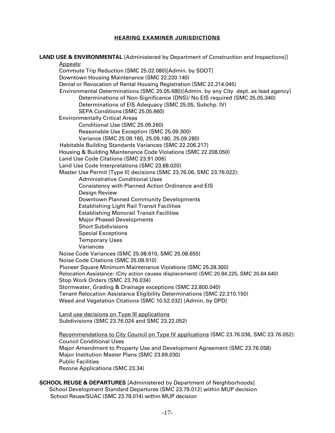#### **HEARING EXAMINER JURISDICTIONS**

|          | <b>LAND USE &amp; ENVIRONMENTAL</b> [Administered by Department of Construction and Inspections]] |
|----------|---------------------------------------------------------------------------------------------------|
| Appeals: |                                                                                                   |
|          | Commute Trip Reduction (SMC 25.02.080)[Admin. by SDOT]                                            |
|          | Downtown Housing Maintenance (SMC 22.220.140)                                                     |
|          | Denial or Revocation of Rental Housing Registration (SMC 22.214.045)                              |
|          | Environmental Determinations (SMC 25.05.680)[Admin. by any City dept. as lead agency]             |
|          | Determinations of Non-Significance (DNS)/ No EIS required (SMC 25.05.340)                         |
|          |                                                                                                   |
|          | Determinations of EIS Adequacy (SMC 25.05, Subchp. IV)                                            |
|          | SEPA Conditions (SMC 25.05.660)                                                                   |
|          | <b>Environmentally Critical Areas</b>                                                             |
|          | Conditional Use (SMC 25.09.260)                                                                   |
|          | Reasonable Use Exception (SMC 25.09.300)                                                          |
|          | Variance (SMC 25.09.160, 25.09.180, 25.09.280)                                                    |
|          | Habitable Building Standards Variances (SMC 22.206.217)                                           |
|          | Housing & Building Maintenance Code Violations (SMC 22.208.050)                                   |
|          | Land Use Code Citations (SMC 23.91.006)                                                           |
|          | Land Use Code Interpretations (SMC 23.88.020)                                                     |
|          | Master Use Permit [Type II] decisions (SMC 23.76.06, SMC 23.76.022):                              |
|          | <b>Administrative Conditional Uses</b>                                                            |
|          | Consistency with Planned Action Ordinance and EIS                                                 |
|          | Design Review                                                                                     |
|          | Downtown Planned Community Developments                                                           |
|          | <b>Establishing Light Rail Transit Facilities</b>                                                 |
|          | <b>Establishing Monorail Transit Facilities</b>                                                   |
|          | <b>Major Phased Developments</b>                                                                  |
|          | <b>Short Subdivisions</b>                                                                         |
|          | <b>Special Exceptions</b>                                                                         |
|          | <b>Temporary Uses</b>                                                                             |
|          | Variances                                                                                         |
|          | Noise Code Variances (SMC 25.08.610, SMC 25.08.655)                                               |
|          | Noise Code Citations (SMC 25.08.910)                                                              |
|          | Pioneer Square Minimum Maintenance Violations (SMC 25.28.300)                                     |
|          | Relocation Assistance: (City action causes displacement) (SMC 20.84.225, SMC 20.84.640)           |
|          |                                                                                                   |
|          | Stop Work Orders (SMC 23.76.034)                                                                  |
|          | Stormwater, Grading & Drainage exceptions (SMC 22.800.040)                                        |
|          | Tenant Relocation Assistance Eligibility Determinations (SMC 22.210.150)                          |
|          | Weed and Vegetation Citations (SMC 10.52.032) [Admin. by DPD]                                     |
|          |                                                                                                   |
|          | Land use decisions on Type III applications<br>Subdivisions (SMC 23.76.024 and SMC 23.22.052)     |
|          |                                                                                                   |
|          | Recommendations to City Council on Type IV applications (SMC 23.76.036, SMC 23.76.052):           |
|          | <b>Council Conditional Uses</b>                                                                   |
|          | Major Amendment to Property Use and Development Agreement (SMC 23.76.058)                         |
|          | Major Institution Master Plans (SMC 23.69.030)                                                    |
|          |                                                                                                   |
|          |                                                                                                   |
|          | <b>Public Facilities</b><br>Rezone Applications (SMC 23.34)                                       |

**SCHOOL REUSE & DEPARTURES** [Administered by Department of Neighborhoods] School Development Standard Departures (SMC 23.79.012) within MUP decision School Reuse/SUAC (SMC 23.78.014) within MUP decision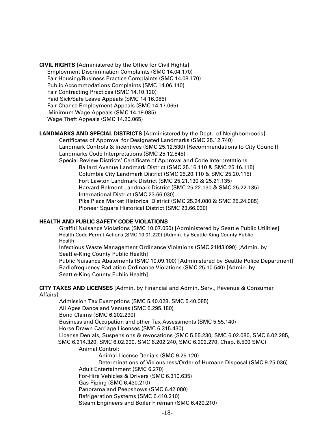**CIVIL RIGHTS** [Administered by the Office for Civil Rights] Employment Discrimination Complaints (SMC 14.04.170) Fair Housing/Business Practice Complaints (SMC 14.08.170) Public Accommodations Complaints (SMC 14.06.110) Fair Contracting Practices (SMC 14.10.120) Paid Sick/Safe Leave Appeals (SMC 14.16.085) Fair Chance Employment Appeals (SMC 14.17.065) Minimum Wage Appeals (SMC 14.19.085) Wage Theft Appeals (SMC 14.20.065)

**LANDMARKS AND SPECIAL DISTRICTS** [Administered by the Dept. of Neighborhoods]

Certificates of Approval for Designated Landmarks (SMC 25.12.740) Landmark Controls & Incentives (SMC 25.12.530) [Recommendations to City Council] Landmarks Code Interpretations (SMC 25.12.845) Special Review Districts' Certificate of Approval and Code Interpretations Ballard Avenue Landmark District (SMC 25.16.110 & SMC 25.16.115) Columbia City Landmark District (SMC 25.20.110 & SMC 25.20.115) Fort Lawton Landmark District (SMC 25.21.130 & 25.21.135) Harvard Belmont Landmark District (SMC 25.22.130 & SMC 25.22.135) International District (SMC 23.66.030) Pike Place Market Historical District (SMC 25.24.080 & SMC 25.24.085) Pioneer Square Historical District (SMC 23.66.030)

#### **HEALTH AND PUBLIC SAFETY CODE VIOLATIONS**

Graffiti Nuisance Violations (SMC 10.07.050) [Administered by Seattle Public Utilities] Health Code Permit Actions (SMC 10.01.220) [Admin. by Seattle-King County Public Health]

Infectious Waste Management Ordinance Violations (SMC 21l43l090) [Admin. by Seattle-King County Public Health]

Public Nuisance Abatements (SMC 10.09.100) [Administered by Seattle Police Department] Radiofrequency Radiation Ordinance Violations (SMC 25.10.540) [Admin. by Seattle-King County Public Health]

**CITY TAXES AND LICENSES** [Admin. by Financial and Admin. Serv., Revenue & Consumer Affairs]:

Admission Tax Exemptions (SMC 5.40.028, SMC 5.40.085) All Ages Dance and Venues (SMC 6.295.180) Bond Claims (SMC 6.202.290) Business and Occupation and other Tax Assessments (SMC 5.55.140) Horse Drawn Carriage Licenses (SMC 6.315.430) License Denials, Suspensions & revocations (SMC 5.55.230, SMC 6.02.080, SMC 6.02.285, SMC 6.214.320, SMC 6.02.290, SMC 6.202.240, SMC 6.202.270, Chap. 6.500 SMC) Animal Control: Animal License Denials (SMC 9.25.120) Determinations of Viciousness/Order of Humane Disposal (SMC 9.25.036) Adult Entertainment (SMC 6.270) For-Hire Vehicles & Drivers (SMC 6.310.635) Gas Piping (SMC 6.430.210) Panorama and Peepshows (SMC 6.42.080) Refrigeration Systems (SMC 6.410.210) Steam Engineers and Boiler Fireman (SMC 6.420.210)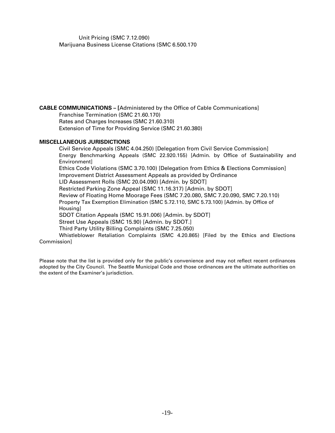Unit Pricing (SMC 7.12.090) Marijuana Business License Citations (SMC 6.500.170

**CABLE COMMUNICATIONS – [**Administered by the Office of Cable Communications]

Franchise Termination (SMC 21.60.170) Rates and Charges Increases (SMC 21.60.310)

Extension of Time for Providing Service (SMC 21.60.380)

#### **MISCELLANEOUS JURISDICTIONS**

Civil Service Appeals (SMC 4.04.250) [Delegation from Civil Service Commission] Energy Benchmarking Appeals (SMC 22.920.155) [Admin. by Office of Sustainability and Environment] Ethics Code Violations (SMC 3.70.100) [Delegation from Ethics & Elections Commission] Improvement District Assessment Appeals as provided by Ordinance LID Assessment Rolls (SMC 20.04.090) [Admin. by SDOT] Restricted Parking Zone Appeal (SMC 11.16.317) [Admin. by SDOT] Review of Floating Home Moorage Fees (SMC 7.20.080, SMC 7.20.090, SMC 7.20.110) Property Tax Exemption Elimination (SMC 5.72.110, SMC 5.73.100) [Admin. by Office of Housing] SDOT Citation Appeals (SMC 15.91.006) [Admin. by SDOT] Street Use Appeals (SMC 15.90) [Admin. by SDOT.] Third Party Utility Billing Complaints (SMC 7.25.050) Whistleblower Retaliation Complaints (SMC 4.20.865) [Filed by the Ethics and Elections Commission]

Please note that the list is provided only for the public's convenience and may not reflect recent ordinances adopted by the City Council. The Seattle Municipal Code and those ordinances are the ultimate authorities on the extent of the Examiner's jurisdiction.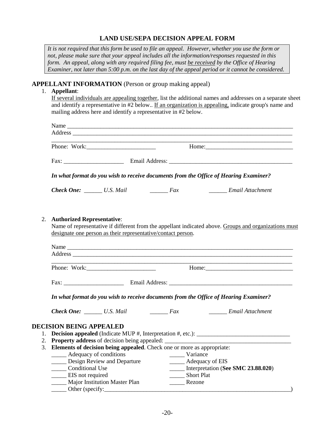## **LAND USE/SEPA DECISION APPEAL FORM**

*It is not required that this form be used to file an appeal. However, whether you use the form or not, please make sure that your appeal includes all the information/responses requested in this form. An appeal, along with any required filing fee, must be received by the Office of Hearing Examiner, not later than 5:00 p.m. on the last day of the appeal period or it cannot be considered.*

#### **APPELLANT INFORMATION** (Person or group making appeal)

#### 1. **Appellant**:

If several individuals are appealing together, list the additional names and addresses on a separate sheet and identify a representative in #2 below.. If an organization is appealing, indicate group's name and mailing address here and identify a representative in #2 below.

|    |                                                                                                                                                                                                                                | Phone: Work:                                                      |                                                                                      | <u> 1989 - Johann Stoff, amerikansk politik (* 1908)</u>                                              |  |  |
|----|--------------------------------------------------------------------------------------------------------------------------------------------------------------------------------------------------------------------------------|-------------------------------------------------------------------|--------------------------------------------------------------------------------------|-------------------------------------------------------------------------------------------------------|--|--|
|    |                                                                                                                                                                                                                                |                                                                   |                                                                                      |                                                                                                       |  |  |
|    |                                                                                                                                                                                                                                |                                                                   | In what format do you wish to receive documents from the Office of Hearing Examiner? |                                                                                                       |  |  |
|    |                                                                                                                                                                                                                                | <b>Check One:</b> U.S. Mail Fax                                   |                                                                                      | Email Attachment                                                                                      |  |  |
| 2. | <b>Authorized Representative:</b>                                                                                                                                                                                              |                                                                   | designate one person as their representative/contact person.                         | Name of representative if different from the appellant indicated above. Groups and organizations must |  |  |
|    |                                                                                                                                                                                                                                |                                                                   |                                                                                      |                                                                                                       |  |  |
|    | Address experience and the contract of the contract of the contract of the contract of the contract of the contract of the contract of the contract of the contract of the contract of the contract of the contract of the con |                                                                   |                                                                                      |                                                                                                       |  |  |
|    | Phone: Work:                                                                                                                                                                                                                   |                                                                   |                                                                                      |                                                                                                       |  |  |
|    |                                                                                                                                                                                                                                |                                                                   |                                                                                      |                                                                                                       |  |  |
|    | In what format do you wish to receive documents from the Office of Hearing Examiner?                                                                                                                                           |                                                                   |                                                                                      |                                                                                                       |  |  |
|    |                                                                                                                                                                                                                                | <b>Check One:</b> $\qquad \qquad \_$ U.S. Mail $\qquad \qquad \_$ |                                                                                      | _________ Email Attachment                                                                            |  |  |
|    | <b>DECISION BEING APPEALED</b>                                                                                                                                                                                                 |                                                                   |                                                                                      |                                                                                                       |  |  |
|    |                                                                                                                                                                                                                                |                                                                   |                                                                                      |                                                                                                       |  |  |
|    |                                                                                                                                                                                                                                |                                                                   |                                                                                      |                                                                                                       |  |  |
|    | 3. Elements of decision being appealed. Check one or more as appropriate:                                                                                                                                                      |                                                                   |                                                                                      |                                                                                                       |  |  |
|    | ______ Adequacy of conditions                                                                                                                                                                                                  |                                                                   |                                                                                      | Variance                                                                                              |  |  |
|    |                                                                                                                                                                                                                                | Design Review and Departure                                       |                                                                                      | ______ Adequacy of EIS<br>_____ Interpretation (See SMC 23.88.020)                                    |  |  |
|    | ______ Conditional Use                                                                                                                                                                                                         |                                                                   |                                                                                      |                                                                                                       |  |  |
|    | _______ EIS not required                                                                                                                                                                                                       |                                                                   |                                                                                      | Short Plat                                                                                            |  |  |
|    |                                                                                                                                                                                                                                | Major Institution Master Plan                                     | _______ Rezone                                                                       |                                                                                                       |  |  |
|    | __ Other (specify:                                                                                                                                                                                                             |                                                                   |                                                                                      |                                                                                                       |  |  |